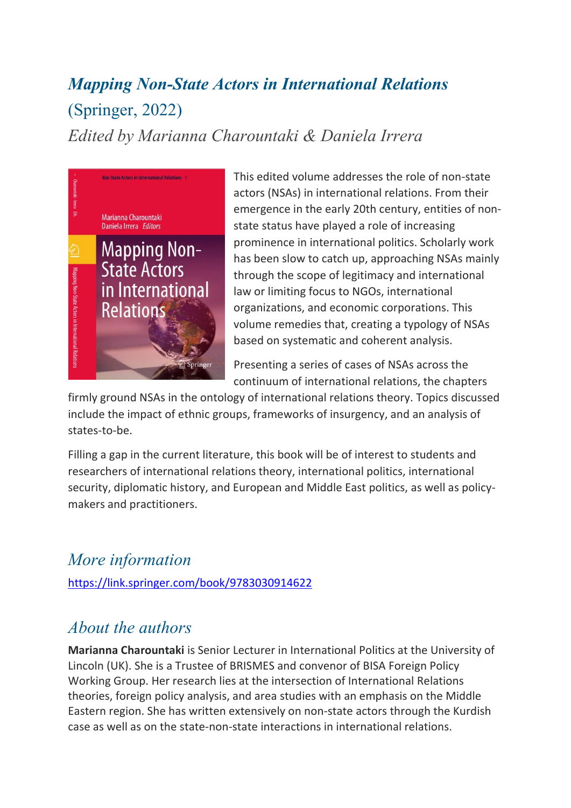## *Mapping Non-State Actors in International Relations* (Springer, 2022) *Edited by Marianna Charountaki & Daniela Irrera*



This edited volume addresses the role of non-state actors (NSAs) in international relations. From their emergence in the early 20th century, entities of nonstate status have played a role of increasing prominence in international politics. Scholarly work has been slow to catch up, approaching NSAs mainly through the scope of legitimacy and international law or limiting focus to NGOs, international organizations, and economic corporations. This volume remedies that, creating a typology of NSAs based on systematic and coherent analysis.

Presenting a series of cases of NSAs across the continuum of international relations, the chapters

firmly ground NSAs in the ontology of international relations theory. Topics discussed include the impact of ethnic groups, frameworks of insurgency, and an analysis of states-to-be.

Filling a gap in the current literature, this book will be of interest to students and researchers of international relations theory, international politics, international security, diplomatic history, and European and Middle East politics, as well as policymakers and practitioners.

## *More information*

<https://link.springer.com/book/9783030914622>

## *About the authors*

**Marianna Charountaki** is Senior Lecturer in International Politics at the University of Lincoln (UK). She is a Trustee of BRISMES and convenor of BISA Foreign Policy Working Group. Her research lies at the intersection of International Relations theories, foreign policy analysis, and area studies with an emphasis on the Middle Eastern region. She has written extensively on non-state actors through the Kurdish case as well as on the state-non-state interactions in international relations.